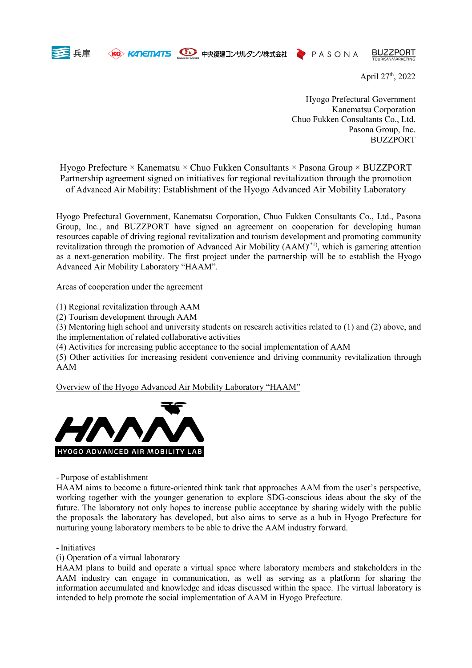

**KG KANEINATE EE 中央復建コンサルタンツ株式会社 ● PASONA** 

**BUZZPORT** 

April 27th, 2022

Hyogo Prefectural Government Kanematsu Corporation Chuo Fukken Consultants Co., Ltd. Pasona Group, Inc. BUZZPORT

Hyogo Prefecture × Kanematsu × Chuo Fukken Consultants × Pasona Group × BUZZPORT Partnership agreement signed on initiatives for regional revitalization through the promotion of Advanced Air Mobility: Establishment of the Hyogo Advanced Air Mobility Laboratory

Hyogo Prefectural Government, Kanematsu Corporation, Chuo Fukken Consultants Co., Ltd., Pasona Group, Inc., and BUZZPORT have signed an agreement on cooperation for developing human resources capable of driving regional revitalization and tourism development and promoting community revitalization through the promotion of Advanced Air Mobility (AAM)(\*1), which is garnering attention as a next-generation mobility. The first project under the partnership will be to establish the Hyogo Advanced Air Mobility Laboratory "HAAM".

Areas of cooperation under the agreement

(1) Regional revitalization through AAM

(2) Tourism development through AAM

(3) Mentoring high school and university students on research activities related to (1) and (2) above, and the implementation of related collaborative activities

(4) Activities for increasing public acceptance to the social implementation of AAM

(5) Other activities for increasing resident convenience and driving community revitalization through AAM

Overview of the Hyogo Advanced Air Mobility Laboratory "HAAM"



- Purpose of establishment

HAAM aims to become a future-oriented think tank that approaches AAM from the user's perspective, working together with the younger generation to explore SDG-conscious ideas about the sky of the future. The laboratory not only hopes to increase public acceptance by sharing widely with the public the proposals the laboratory has developed, but also aims to serve as a hub in Hyogo Prefecture for nurturing young laboratory members to be able to drive the AAM industry forward.

## - Initiatives

## (i) Operation of a virtual laboratory

HAAM plans to build and operate a virtual space where laboratory members and stakeholders in the AAM industry can engage in communication, as well as serving as a platform for sharing the information accumulated and knowledge and ideas discussed within the space. The virtual laboratory is intended to help promote the social implementation of AAM in Hyogo Prefecture.